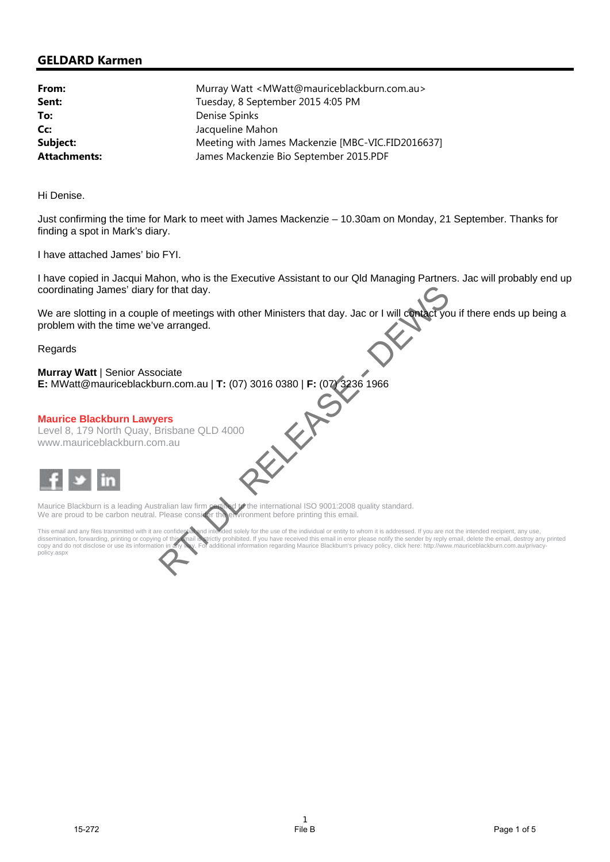# **GELDARD Karmen**

| From:               | Murray Watt < MWatt@mauriceblackburn.com.au>      |
|---------------------|---------------------------------------------------|
| Sent:               | Tuesday, 8 September 2015 4:05 PM                 |
| To:                 | Denise Spinks                                     |
| Cc:                 | Jacqueline Mahon                                  |
| Subject:            | Meeting with James Mackenzie [MBC-VIC.FID2016637] |
| <b>Attachments:</b> | James Mackenzie Bio September 2015.PDF            |

Hi Denise.

Just confirming the time for Mark to meet with James Mackenzie – 10.30am on Monday, 21 September. Thanks for finding a spot in Mark's diary.

I have attached James' bio FYI.

I have copied in Jacqui Mahon, who is the Executive Assistant to our Qld Managing Partners. Jac will probably end up coordinating James' diary for that day.

We are slotting in a couple of meetings with other Ministers that day. Jac or I will contact you if there ends up being a problem with the time we've arranged.

Regards

## **Murray Watt** | Senior Associate

**E:** MWatt@mauriceblackburn.com.au | **T:** (07) 3016 0380 | **F:** (07) 3236 1966

#### **Maurice Blackburn Lawyers**

Level 8, 179 North Quay, Brisbane QLD 4000 www.mauriceblackburn.com.au



Maurice Blackburn is a leading Australian law firm certified to the international ISO 9001:2008 quality standard.<br>We are proud to be carbon neutral. Please consider the environment before printing this email. We are proud to be carbon neutral. Please consider the environment before printing the environment before printing the email.

This email and any files transmitted with it are confidential and intended solely for the use of the individual or entity to whom it is addressed. If you are not the intended recipient, any use, dissemination, forwarding, dissemination, forwarding, printing or copying of this (mail is strictly prohibited. If you have received this email in error please notify the sender by reply email, delete the email, destroy any printed<br>copy and do not d policy.aspx traing James' diary for that day.<br>
In this time we've arranged.<br>
Solution in a couple of magistratic with other Ministers that day. Jac or I will develop you if there ends up<br>
with the time we've arranged.<br>
Solution Case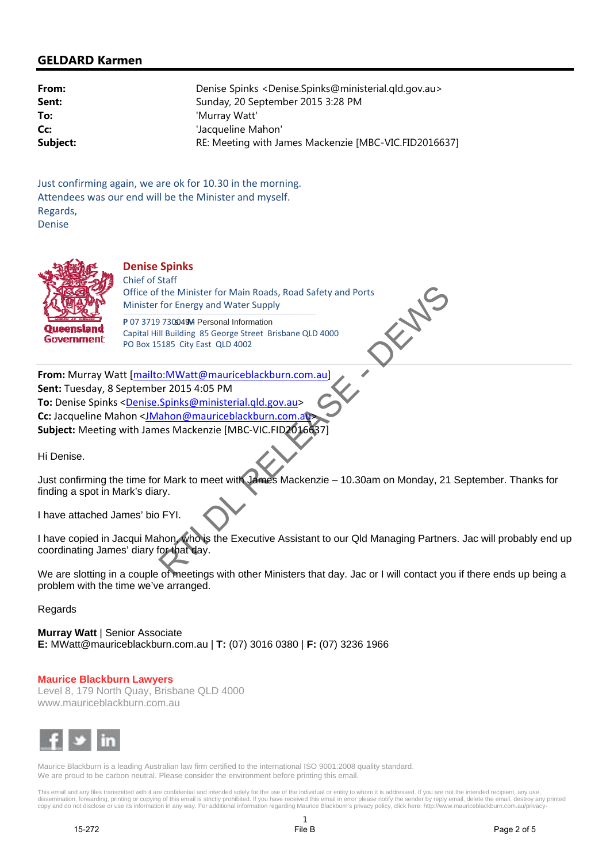## **GELDARD Karmen**

| From:    | Denise Spinks <denise.spinks@ministerial.gld.gov.au></denise.spinks@ministerial.gld.gov.au> |
|----------|---------------------------------------------------------------------------------------------|
| Sent:    | Sunday, 20 September 2015 3:28 PM                                                           |
| To:      | 'Murray Watt'                                                                               |
| Cc:      | 'Jacqueline Mahon'                                                                          |
| Subject: | RE: Meeting with James Mackenzie [MBC-VIC.FID2016637]                                       |

Just confirming again, we are ok for 10.30 in the morning. Attendees was our end will be the Minister and myself. Regards, Denise



#### **Denise Spinks** Chief of Staff

Office of the Minister for Main Roads, Road Safety and Ports<br>Minister for Energy and Water Supply<br>P 07 3719 7309490 Personal Information<br>Capital Hill Building 85 George Street Brisbane QLD 4000<br>PO Box 15185 City East QLD 4 Minister for Energy and Water Supply---------------------------------------------------------------------------------------------------------------------------------------------

P 07 3719 730049M Personal Information Capital Hill Building 85 George Street Brisbane QLD 4000 PO Box 15185 City East QLD 4002

**From:** Murray Watt [mailto:MWatt@mauriceblackburn.com.au] **Sent:** Tuesday, 8 September 2015 4:05 PM **To:** Denise Spinks <Denise.Spinks@ministerial.qld.gov.au> **Cc:** Jacqueline Mahon <JMahon@mauriceblackburn.com.a **Subject:** Meeting with James Mackenzie [MBC‐VIC.FID2016637] The method of the Minister for Kalain Roads, Road Siely and Ports<br>
The method of the Minister for Energy and Water Sieply<br> **Example 30** The method counter of Energy and Water Sieply<br> **Example 2** Distance 2 (19.400)<br> **Examp** 

Hi Denise.

Just confirming the time for Mark to meet with James Mackenzie – 10.30am on Monday, 21 September. Thanks for finding a spot in Mark's diary.

I have attached James' bio FYI.

I have copied in Jacqui Mahon, who is the Executive Assistant to our Qld Managing Partners. Jac will probably end up coordinating James' diary for that day.

We are slotting in a couple of meetings with other Ministers that day. Jac or I will contact you if there ends up being a problem with the time we've arranged.

## **Regards**

**Murray Watt** | Senior Associate **E:** MWatt@mauriceblackburn.com.au | **T:** (07) 3016 0380 | **F:** (07) 3236 1966

## **Maurice Blackburn Lawyers**

Level 8, 179 North Quay, Brisbane QLD 4000 www.mauriceblackburn.com.au



Maurice Blackburn is a leading Australian law firm certified to the international ISO 9001:2008 quality standard. We are proud to be carbon neutral. Please consider the environment before printing this email.

This email and any files transmitted with it are confidential and intended solely for the use of the individual or entity to whom it is addressed. If you are not the intended recipient, any use,<br>dissemination, forwarding,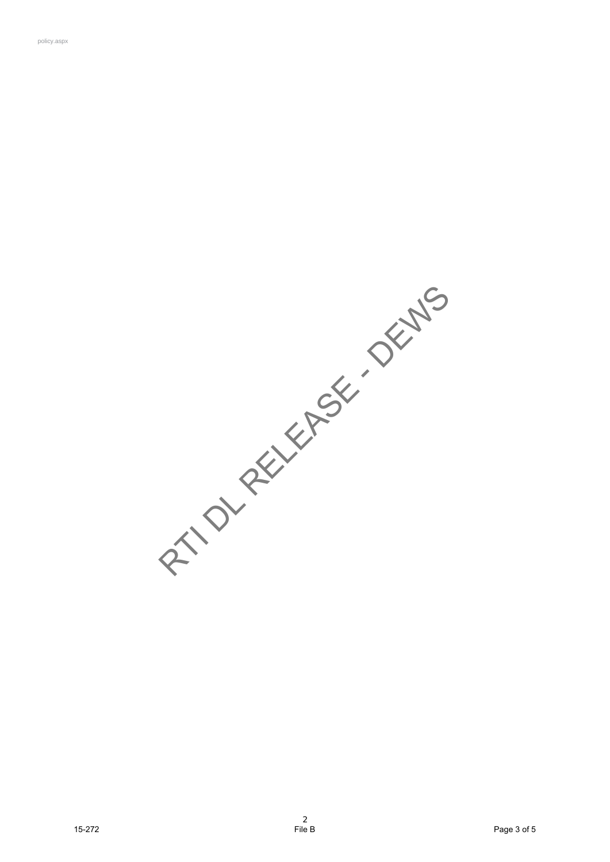**15-27 PAGE 15-27 PAGE 15-27** PAGE 15-27<br>15-27<br>15-27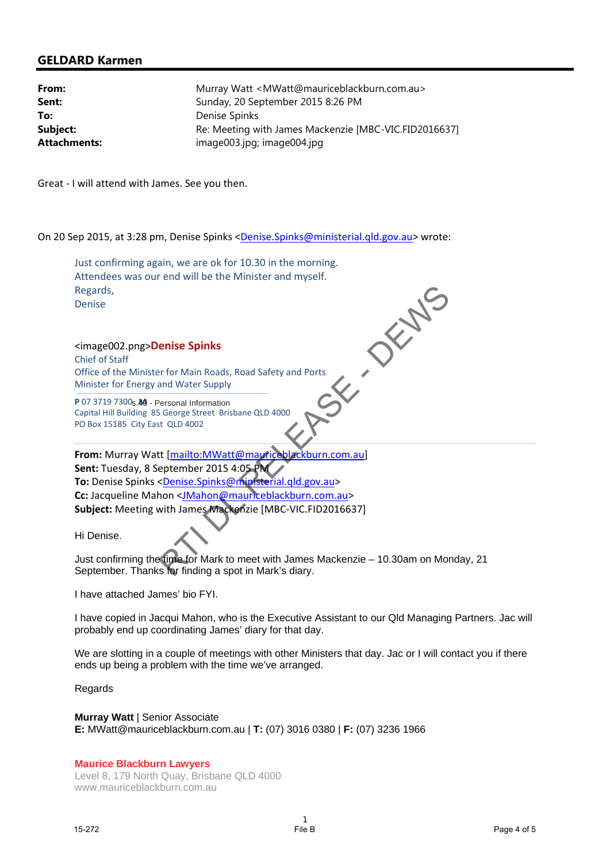## **GELDARD Karmen**

| From:               | Murray Watt < MWatt@mauriceblackburn.com.au>          |
|---------------------|-------------------------------------------------------|
| Sent:               | Sunday, 20 September 2015 8:26 PM                     |
| To:                 | Denise Spinks                                         |
| Subject:            | Re: Meeting with James Mackenzie [MBC-VIC.FID2016637] |
| <b>Attachments:</b> | image003.jpg; image004.jpg                            |

Great ‐ I will attend with James. See you then.

On 20 Sep 2015, at 3:28 pm, Denise Spinks <Denise.Spinks@ministerial.qld.gov.au> wrote:

Just confirming again, we are ok for 10.30 in the morning. Regards, Denise

Attendees was our end will be the Minister and myself.<br>
Regards,<br>
Denise<br>
<br>
Simage002.png>**Denise Spinks**<br>
Chief of Staff<br>
Office of the Minister for Main Roads<br>
Minister for Energy and W<sup>2+-</sup><br>
P 07 3719 7300<br>
Capit <image002.png>**Denise Spinks** Chief of Staff Office of the Minister for Main Roads, Road Safety and Ports Minister for Energy and Water Supply---------------------------------------------------------------------------------------------------------------------------------------------

P 07 3719 7300<sub>S</sub>.49 - Personal Information Capital Hill Building 85 George Street Brisbane QLD 4000 PO Box 15185 City East QLD 4002

**From:** Murray Watt [mailto:MWatt@mauriceblackburn.com.au] Sent: Tuesday, 8 September 2015 4:05 **To:** Denise Spinks <Denise.Spinks@ministerial.qld.gov.au> **Cc:** Jacqueline Mahon <JMahon@mauriceblackburn.com.au> **Subject:** Meeting with James Mackenzie [MBC‐VIC.FID2016637] Regards<br>
Realise<br>
Chief et Staff<br>
chief et Staff<br>
Chief et Staff<br>
Chief et Staff<br>
Chief et Staff<br>
Minister for Energy and Water Supply<br>
Minister for Energy and Water Supply<br>
Minister for Energy and Water Supply<br>
Minister o

Hi Denise.

Just confirming the time for Mark to meet with James Mackenzie – 10.30am on Monday, 21 September. Thanks for finding a spot in Mark's diary.

I have attached James' bio FYI.

I have copied in Jacqui Mahon, who is the Executive Assistant to our Qld Managing Partners. Jac will probably end up coordinating James' diary for that day.

We are slotting in a couple of meetings with other Ministers that day. Jac or I will contact you if there ends up being a problem with the time we've arranged.

Regards

**Murray Watt** | Senior Associate

**E:** MWatt@mauriceblackburn.com.au | **T:** (07) 3016 0380 | **F:** (07) 3236 1966

**Maurice Blackburn Lawyers** Level 8, 179 North Quay, Brisbane QLD 4000 www.mauriceblackburn.com.au